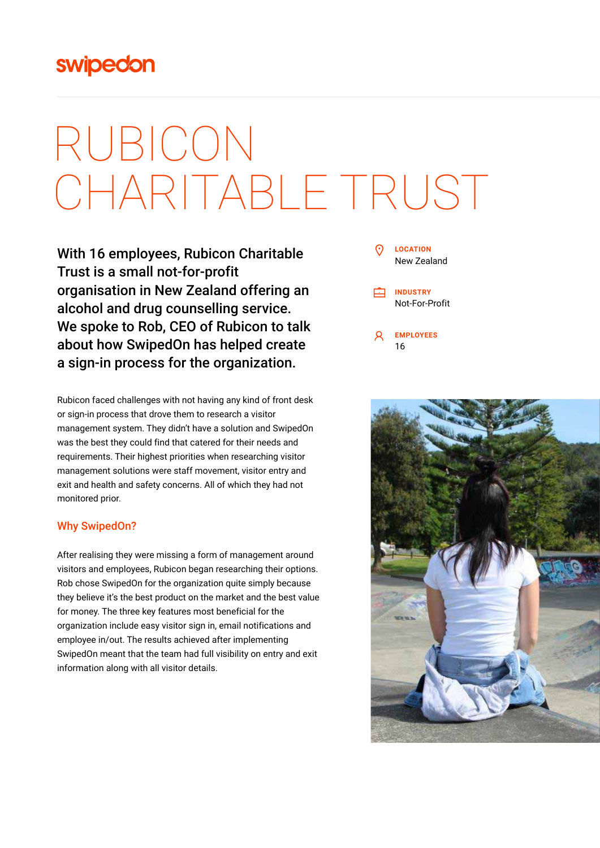## swipedon

# RUBICON CHARITABLE TRUST

With 16 employees, Rubicon Charitable Trust is a small not-for-profit organisation in New Zealand offering an alcohol and drug counselling service. We spoke to Rob, CEO of Rubicon to talk about how SwipedOn has helped create a sign-in process for the organization.

Rubicon faced challenges with not having any kind of front desk or sign-in process that drove them to research a visitor management system. They didn't have a solution and SwipedOn was the best they could find that catered for their needs and requirements. Their highest priorities when researching visitor management solutions were staff movement, visitor entry and exit and health and safety concerns. All of which they had not monitored prior.

#### Why SwipedOn?

After realising they were missing a form of management around visitors and employees, Rubicon began researching their options. Rob chose SwipedOn for the organization quite simply because they believe it's the best product on the market and the best value for money. The three key features most beneficial for the organization include easy visitor sign in, email notifications and employee in/out. The results achieved after implementing SwipedOn meant that the team had full visibility on entry and exit information along with all visitor details.